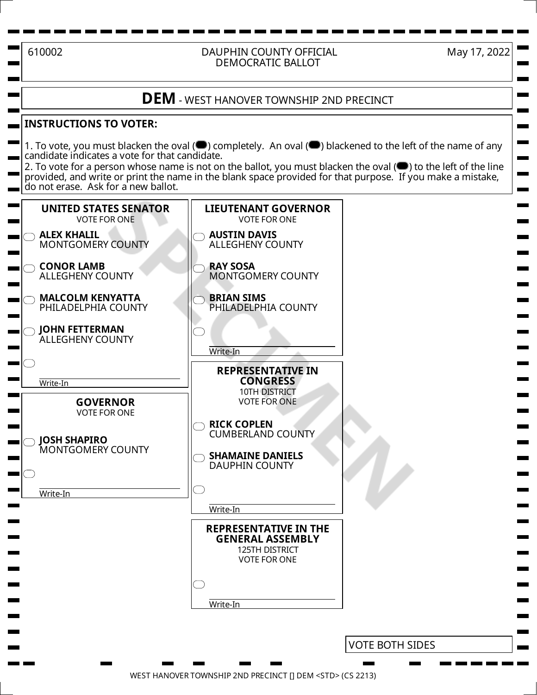## 610002 DAUPHIN COUNTY OFFICIAL DEMOCRATIC BALLOT

May 17, 2022

## **DEM** - WEST HANOVER TOWNSHIP 2ND PRECINCT

## **INSTRUCTIONS TO VOTER:**

1. To vote, you must blacken the oval ( $\blacksquare$ ) completely. An oval ( $\blacksquare$ ) blackened to the left of the name of any candidate indicates a vote for that candidate.

2. To vote for a person whose name is not on the ballot, you must blacken the oval  $($ **)** to the left of the line provided, and write or print the name in the blank space provided for that purpose. If you make a mistake, do not erase. Ask for a new ballot.



VOTE BOTH SIDES